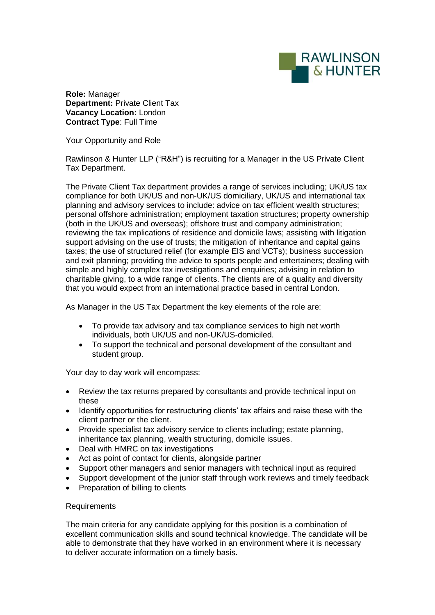

**Role:** Manager **Department:** Private Client Tax **Vacancy Location:** London **Contract Type**: Full Time

Your Opportunity and Role

Rawlinson & Hunter LLP ("R&H") is recruiting for a Manager in the US Private Client Tax Department.

The Private Client Tax department provides a range of services including; UK/US tax compliance for both UK/US and non-UK/US domiciliary, UK/US and international tax planning and advisory services to include: advice on tax efficient wealth structures; personal offshore administration; employment taxation structures; property ownership (both in the UK/US and overseas); offshore trust and company administration; reviewing the tax implications of residence and domicile laws; assisting with litigation support advising on the use of trusts; the mitigation of inheritance and capital gains taxes; the use of structured relief (for example EIS and VCTs); business succession and exit planning; providing the advice to sports people and entertainers; dealing with simple and highly complex tax investigations and enquiries; advising in relation to charitable giving, to a wide range of clients. The clients are of a quality and diversity that you would expect from an international practice based in central London.

As Manager in the US Tax Department the key elements of the role are:

- To provide tax advisory and tax compliance services to high net worth individuals, both UK/US and non-UK/US-domiciled.
- To support the technical and personal development of the consultant and student group.

Your day to day work will encompass:

- Review the tax returns prepared by consultants and provide technical input on these
- Identify opportunities for restructuring clients' tax affairs and raise these with the client partner or the client.
- Provide specialist tax advisory service to clients including; estate planning, inheritance tax planning, wealth structuring, domicile issues.
- Deal with HMRC on tax investigations
- Act as point of contact for clients, alongside partner
- Support other managers and senior managers with technical input as required
- Support development of the junior staff through work reviews and timely feedback
- Preparation of billing to clients

## Requirements

The main criteria for any candidate applying for this position is a combination of excellent communication skills and sound technical knowledge. The candidate will be able to demonstrate that they have worked in an environment where it is necessary to deliver accurate information on a timely basis.